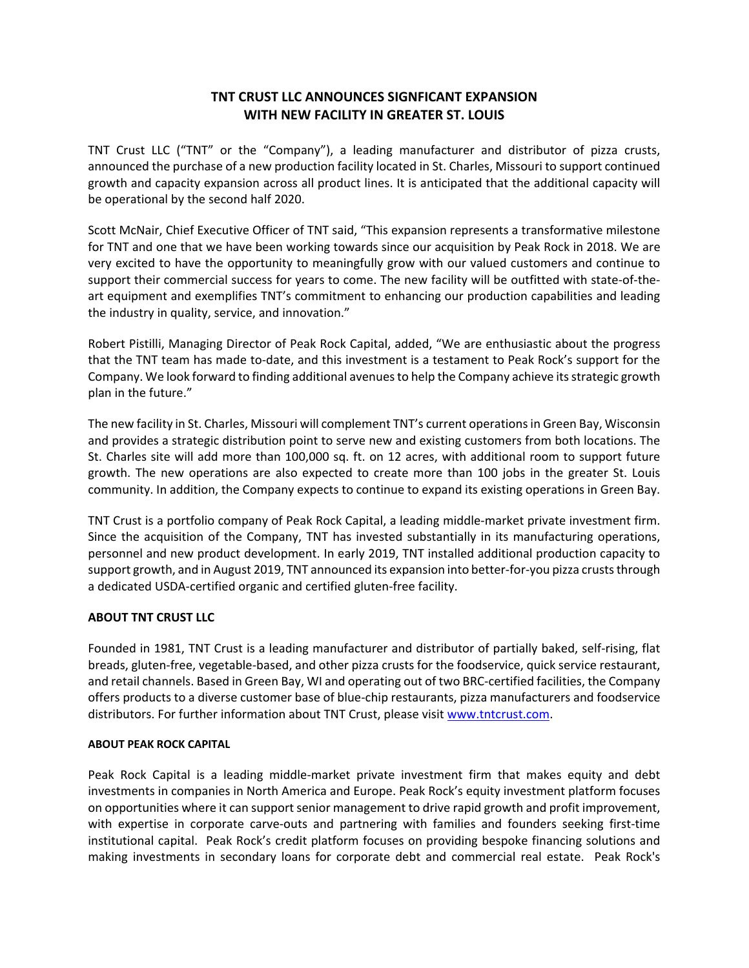## **TNT CRUST LLC ANNOUNCES SIGNFICANT EXPANSION WITH NEW FACILITY IN GREATER ST. LOUIS**

TNT Crust LLC ("TNT" or the "Company"), a leading manufacturer and distributor of pizza crusts, announced the purchase of a new production facility located in St. Charles, Missouri to support continued growth and capacity expansion across all product lines. It is anticipated that the additional capacity will be operational by the second half 2020.

Scott McNair, Chief Executive Officer of TNT said, "This expansion represents a transformative milestone for TNT and one that we have been working towards since our acquisition by Peak Rock in 2018. We are very excited to have the opportunity to meaningfully grow with our valued customers and continue to support their commercial success for years to come. The new facility will be outfitted with state‐of‐the‐ art equipment and exemplifies TNT's commitment to enhancing our production capabilities and leading the industry in quality, service, and innovation."

Robert Pistilli, Managing Director of Peak Rock Capital, added, "We are enthusiastic about the progress that the TNT team has made to‐date, and this investment is a testament to Peak Rock's support for the Company. We look forward to finding additional avenues to help the Company achieve its strategic growth plan in the future."

The new facility in St. Charles, Missouri will complement TNT's current operations in Green Bay, Wisconsin and provides a strategic distribution point to serve new and existing customers from both locations. The St. Charles site will add more than 100,000 sq. ft. on 12 acres, with additional room to support future growth. The new operations are also expected to create more than 100 jobs in the greater St. Louis community. In addition, the Company expects to continue to expand its existing operations in Green Bay.

TNT Crust is a portfolio company of Peak Rock Capital, a leading middle‐market private investment firm. Since the acquisition of the Company, TNT has invested substantially in its manufacturing operations, personnel and new product development. In early 2019, TNT installed additional production capacity to support growth, and in August 2019, TNT announced its expansion into better‐for‐you pizza crusts through a dedicated USDA‐certified organic and certified gluten‐free facility.

## **ABOUT TNT CRUST LLC**

Founded in 1981, TNT Crust is a leading manufacturer and distributor of partially baked, self‐rising, flat breads, gluten‐free, vegetable‐based, and other pizza crusts for the foodservice, quick service restaurant, and retail channels. Based in Green Bay, WI and operating out of two BRC‐certified facilities, the Company offers products to a diverse customer base of blue‐chip restaurants, pizza manufacturers and foodservice distributors. For further information about TNT Crust, please visit www.tntcrust.com.

## **ABOUT PEAK ROCK CAPITAL**

Peak Rock Capital is a leading middle-market private investment firm that makes equity and debt investments in companies in North America and Europe. Peak Rock's equity investment platform focuses on opportunities where it can support senior management to drive rapid growth and profit improvement, with expertise in corporate carve-outs and partnering with families and founders seeking first-time institutional capital. Peak Rock's credit platform focuses on providing bespoke financing solutions and making investments in secondary loans for corporate debt and commercial real estate. Peak Rock's